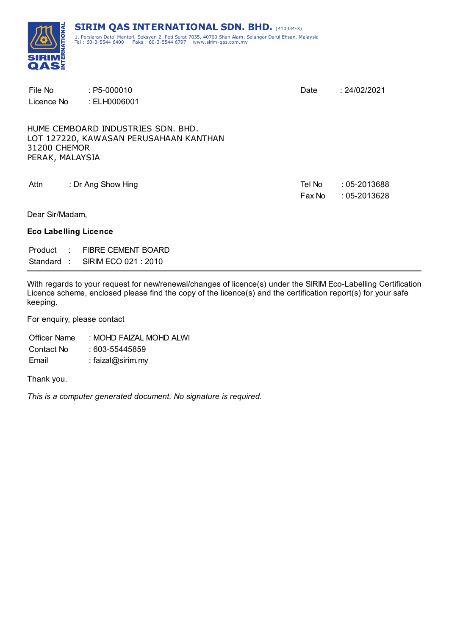

| File No                      | $: P5-000010$                          | Date   | : 24/02/2021    |
|------------------------------|----------------------------------------|--------|-----------------|
| Licence No                   | : ELH0006001                           |        |                 |
|                              |                                        |        |                 |
|                              | HUME CEMBOARD INDUSTRIES SDN. BHD.     |        |                 |
|                              | LOT 127220, KAWASAN PERUSAHAAN KANTHAN |        |                 |
| 31200 CHEMOR                 |                                        |        |                 |
| PERAK, MALAYSIA              |                                        |        |                 |
|                              |                                        |        |                 |
| Attn                         | : Dr Ang Show Hing                     | Tel No | $:05 - 2013688$ |
|                              |                                        | Fax No | $:05 - 2013628$ |
| Dear Sir/Madam,              |                                        |        |                 |
| <b>Eco Labelling Licence</b> |                                        |        |                 |
|                              | Product : FIBRE CEMENT BOARD           |        |                 |
|                              | Standard: SIRIM ECO 021:2010           |        |                 |
|                              |                                        |        |                 |

With regards to your request for new/renewal/changes of licence(s) under the SIRIM Eco-Labelling Certification Licence scheme, enclosed please find the copy of the licence(s) and the certification report(s) for your safe keeping.

For enquiry, please contact

Officer Name : MOHD FAIZAL MOHD ALWI Contact No : 603-55445859 Email : faizal@sirim.my

Thank you.

*This is a computer generated document. No signature is required.*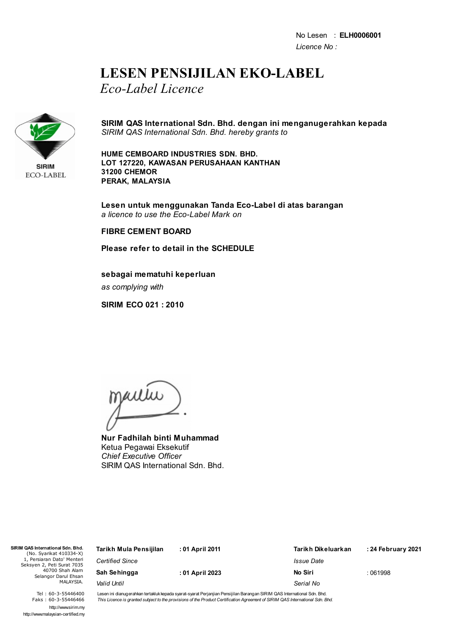## **LESEN PENSIJILAN EKO-LABEL**

*Eco-Label Licence*



**SIRIM QAS International Sdn. Bhd. dengan ini menganugerahkan kepada** *SIRIM QAS International Sdn. Bhd. hereby grants to*

**HUME CEMBOARD INDUSTRIES SDN. BHD. LOT 127220, KAWASAN PERUSAHAAN KANTHAN 31200 CHEMOR PERAK, MALAYSIA**

**Lesen untuk menggunakan Tanda Eco-Label di atas barangan** *a licence to use the Eco-Label Mark on*

## **FIBRE CEMENT BOARD**

**Please refer to detail in the SCHEDULE**

**sebagai mematuhi keperluan** *as complying with*

**SIRIM ECO 021 : 2010**

mautu

**Nur Fadhilah binti Muhammad** Ketua Pegawai Eksekutif *Chief Executive Officer* SIRIM QAS International Sdn. Bhd.

| QAS International Sdn. Bhd.<br>(No. Syarikat 410334-X)   | Tarikh Mula Pensijilan | : 01 April 2011 | Tarikh Dikeluarkan       | : 24 February 2021 |
|----------------------------------------------------------|------------------------|-----------------|--------------------------|--------------------|
| 1, Persiaran Dato' Menteri<br>ieksyen 2, Peti Surat 7035 | <b>Certified Since</b> |                 | <i><b>Issue Date</b></i> |                    |
| 40700 Shah Alam<br>Selangor Darul Ehsan                  | Sah Sehingga           | : 01 April 2023 | No Siri                  | :061998            |
| MALAYSIA.                                                | Valid Until            |                 | Serial No                |                    |
|                                                          |                        |                 |                          |                    |

Tel : 60-3-55446400 Faks : 60-3-55446466 http://www.sirim.my http://www.malaysian-certified.my

 $SIRIMOAS$  $(Nc$ 

Seksy

Lesen ini dianugerahkan tertakluk kepada syarat-syarat Perjanjian Pensijilan Barangan SIRIM QAS International Sdn. Bhd. This Licence is granted subject to the provisions of the Product Certification Agreement of SIRIM QAS International Sdn. Bhd.